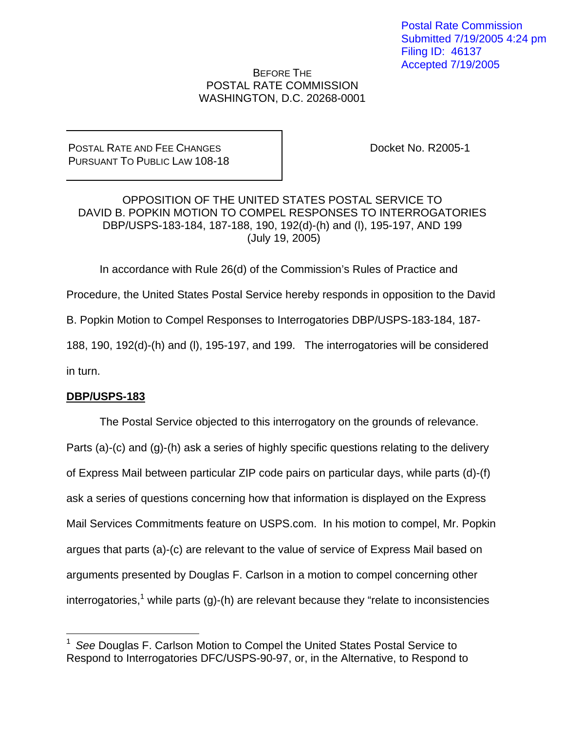Postal Rate Commission Submitted 7/19/2005 4:24 pm Filing ID: 46137 Accepted 7/19/2005

# BEFORE THE POSTAL RATE COMMISSION WASHINGTON, D.C. 20268-0001

POSTAL RATE AND FEE CHANGES PURSUANT TO PUBLIC LAW 108-18 Docket No. R2005-1

OPPOSITION OF THE UNITED STATES POSTAL SERVICE TO DAVID B. POPKIN MOTION TO COMPEL RESPONSES TO INTERROGATORIES DBP/USPS-183-184, 187-188, 190, 192(d)-(h) and (l), 195-197, AND 199 (July 19, 2005)

In accordance with Rule 26(d) of the Commission's Rules of Practice and

Procedure, the United States Postal Service hereby responds in opposition to the David

B. Popkin Motion to Compel Responses to Interrogatories DBP/USPS-183-184, 187-

188, 190, 192(d)-(h) and (l), 195-197, and 199. The interrogatories will be considered in turn.

## **DBP/USPS-183**

1

 The Postal Service objected to this interrogatory on the grounds of relevance. Parts (a)-(c) and (g)-(h) ask a series of highly specific questions relating to the delivery of Express Mail between particular ZIP code pairs on particular days, while parts (d)-(f) ask a series of questions concerning how that information is displayed on the Express Mail Services Commitments feature on USPS.com. In his motion to compel, Mr. Popkin argues that parts (a)-(c) are relevant to the value of service of Express Mail based on arguments presented by Douglas F. Carlson in a motion to compel concerning other interrogatories,<sup>1</sup> while parts (g)-(h) are relevant because they "relate to inconsistencies

<sup>1</sup>*See* Douglas F. Carlson Motion to Compel the United States Postal Service to Respond to Interrogatories DFC/USPS-90-97, or, in the Alternative, to Respond to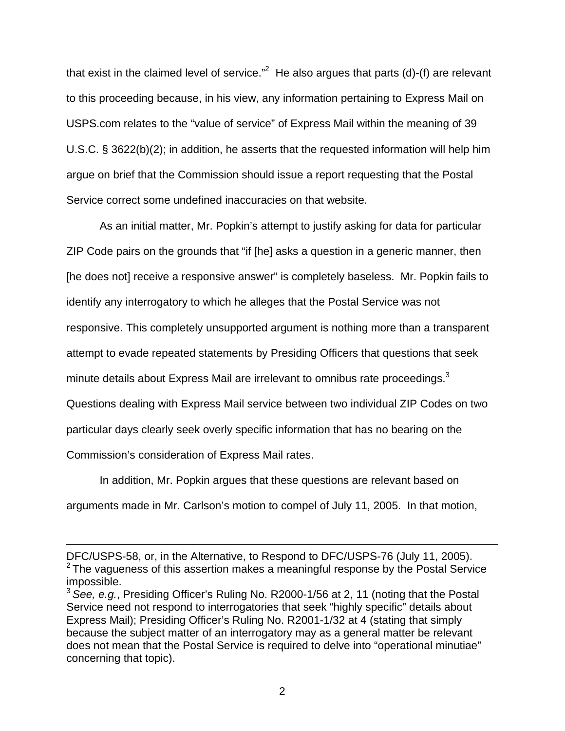that exist in the claimed level of service."<sup>2</sup> He also argues that parts (d)-(f) are relevant to this proceeding because, in his view, any information pertaining to Express Mail on USPS.com relates to the "value of service" of Express Mail within the meaning of 39 U.S.C. § 3622(b)(2); in addition, he asserts that the requested information will help him argue on brief that the Commission should issue a report requesting that the Postal Service correct some undefined inaccuracies on that website.

As an initial matter, Mr. Popkin's attempt to justify asking for data for particular ZIP Code pairs on the grounds that "if [he] asks a question in a generic manner, then [he does not] receive a responsive answer" is completely baseless. Mr. Popkin fails to identify any interrogatory to which he alleges that the Postal Service was not responsive. This completely unsupported argument is nothing more than a transparent attempt to evade repeated statements by Presiding Officers that questions that seek minute details about Express Mail are irrelevant to omnibus rate proceedings.<sup>3</sup> Questions dealing with Express Mail service between two individual ZIP Codes on two particular days clearly seek overly specific information that has no bearing on the Commission's consideration of Express Mail rates.

 In addition, Mr. Popkin argues that these questions are relevant based on arguments made in Mr. Carlson's motion to compel of July 11, 2005. In that motion,

DFC/USPS-58, or, in the Alternative, to Respond to DFC/USPS-76 (July 11, 2005).  $2$  The vagueness of this assertion makes a meaningful response by the Postal Service impossible.

<sup>3</sup>*See, e.g.*, Presiding Officer's Ruling No. R2000-1/56 at 2, 11 (noting that the Postal Service need not respond to interrogatories that seek "highly specific" details about Express Mail); Presiding Officer's Ruling No. R2001-1/32 at 4 (stating that simply because the subject matter of an interrogatory may as a general matter be relevant does not mean that the Postal Service is required to delve into "operational minutiae" concerning that topic).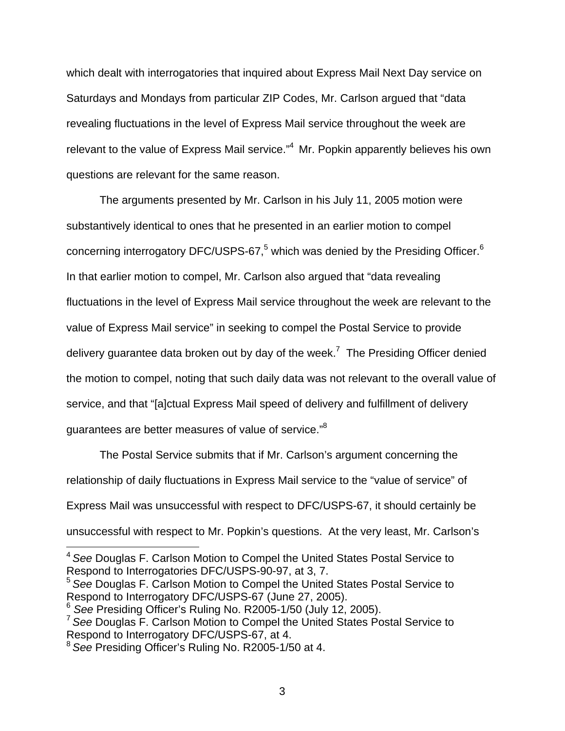which dealt with interrogatories that inquired about Express Mail Next Day service on Saturdays and Mondays from particular ZIP Codes, Mr. Carlson argued that "data revealing fluctuations in the level of Express Mail service throughout the week are relevant to the value of Express Mail service."<sup>4</sup> Mr. Popkin apparently believes his own questions are relevant for the same reason.

 The arguments presented by Mr. Carlson in his July 11, 2005 motion were substantively identical to ones that he presented in an earlier motion to compel concerning interrogatory DFC/USPS-67,<sup>5</sup> which was denied by the Presiding Officer.<sup>6</sup> In that earlier motion to compel, Mr. Carlson also argued that "data revealing fluctuations in the level of Express Mail service throughout the week are relevant to the value of Express Mail service" in seeking to compel the Postal Service to provide delivery guarantee data broken out by day of the week.<sup>7</sup> The Presiding Officer denied the motion to compel, noting that such daily data was not relevant to the overall value of service, and that "[a]ctual Express Mail speed of delivery and fulfillment of delivery guarantees are better measures of value of service."<sup>8</sup>

The Postal Service submits that if Mr. Carlson's argument concerning the relationship of daily fluctuations in Express Mail service to the "value of service" of Express Mail was unsuccessful with respect to DFC/USPS-67, it should certainly be unsuccessful with respect to Mr. Popkin's questions. At the very least, Mr. Carlson's

<sup>4</sup>*See* Douglas F. Carlson Motion to Compel the United States Postal Service to Respond to Interrogatories DFC/USPS-90-97, at 3, 7.

<sup>5</sup>*See* Douglas F. Carlson Motion to Compel the United States Postal Service to Respond to Interrogatory DFC/USPS-67 (June 27, 2005).

<sup>6</sup> *See* Presiding Officer's Ruling No. R2005-1/50 (July 12, 2005).

<sup>7</sup>*See* Douglas F. Carlson Motion to Compel the United States Postal Service to Respond to Interrogatory DFC/USPS-67, at 4.

<sup>8</sup>*See* Presiding Officer's Ruling No. R2005-1/50 at 4.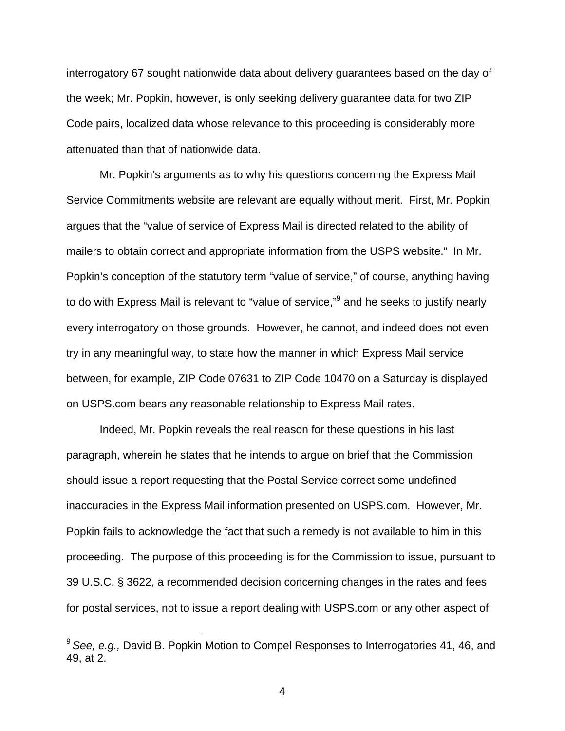interrogatory 67 sought nationwide data about delivery guarantees based on the day of the week; Mr. Popkin, however, is only seeking delivery guarantee data for two ZIP Code pairs, localized data whose relevance to this proceeding is considerably more attenuated than that of nationwide data.

 Mr. Popkin's arguments as to why his questions concerning the Express Mail Service Commitments website are relevant are equally without merit. First, Mr. Popkin argues that the "value of service of Express Mail is directed related to the ability of mailers to obtain correct and appropriate information from the USPS website." In Mr. Popkin's conception of the statutory term "value of service," of course, anything having to do with Express Mail is relevant to "value of service,"<sup>9</sup> and he seeks to justify nearly every interrogatory on those grounds. However, he cannot, and indeed does not even try in any meaningful way, to state how the manner in which Express Mail service between, for example, ZIP Code 07631 to ZIP Code 10470 on a Saturday is displayed on USPS.com bears any reasonable relationship to Express Mail rates.

Indeed, Mr. Popkin reveals the real reason for these questions in his last paragraph, wherein he states that he intends to argue on brief that the Commission should issue a report requesting that the Postal Service correct some undefined inaccuracies in the Express Mail information presented on USPS.com. However, Mr. Popkin fails to acknowledge the fact that such a remedy is not available to him in this proceeding. The purpose of this proceeding is for the Commission to issue, pursuant to 39 U.S.C. § 3622, a recommended decision concerning changes in the rates and fees for postal services, not to issue a report dealing with USPS.com or any other aspect of

<sup>9</sup>*See, e.g.,* David B. Popkin Motion to Compel Responses to Interrogatories 41, 46, and 49, at 2.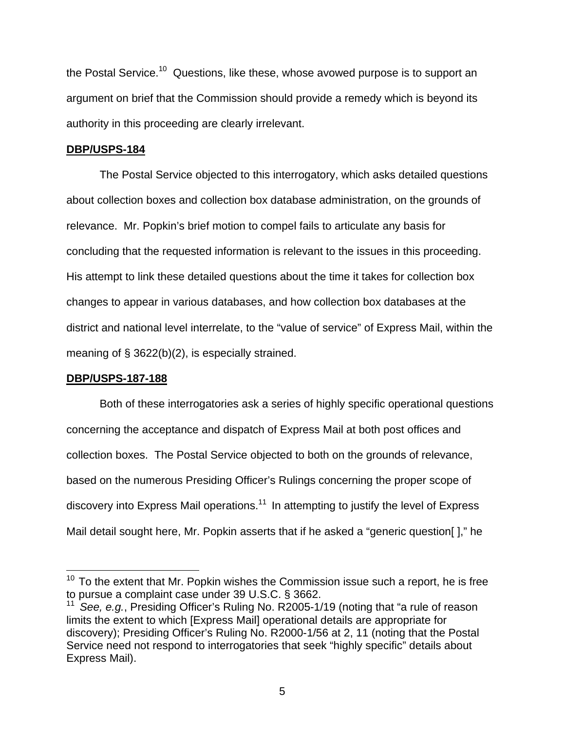the Postal Service.<sup>10</sup> Questions, like these, whose avowed purpose is to support an argument on brief that the Commission should provide a remedy which is beyond its authority in this proceeding are clearly irrelevant.

#### **DBP/USPS-184**

 The Postal Service objected to this interrogatory, which asks detailed questions about collection boxes and collection box database administration, on the grounds of relevance. Mr. Popkin's brief motion to compel fails to articulate any basis for concluding that the requested information is relevant to the issues in this proceeding. His attempt to link these detailed questions about the time it takes for collection box changes to appear in various databases, and how collection box databases at the district and national level interrelate, to the "value of service" of Express Mail, within the meaning of  $\S$  3622(b)(2), is especially strained.

## **DBP/USPS-187-188**

 $\overline{a}$ 

 Both of these interrogatories ask a series of highly specific operational questions concerning the acceptance and dispatch of Express Mail at both post offices and collection boxes. The Postal Service objected to both on the grounds of relevance, based on the numerous Presiding Officer's Rulings concerning the proper scope of discovery into Express Mail operations.<sup>11</sup> In attempting to justify the level of Express Mail detail sought here, Mr. Popkin asserts that if he asked a "generic question[ ]," he

 $10$  To the extent that Mr. Popkin wishes the Commission issue such a report, he is free to pursue a complaint case under 39 U.S.C. § 3662.

<sup>&</sup>lt;sup>11</sup> See, e.g., Presiding Officer's Ruling No. R2005-1/19 (noting that "a rule of reason limits the extent to which [Express Mail] operational details are appropriate for discovery); Presiding Officer's Ruling No. R2000-1/56 at 2, 11 (noting that the Postal Service need not respond to interrogatories that seek "highly specific" details about Express Mail).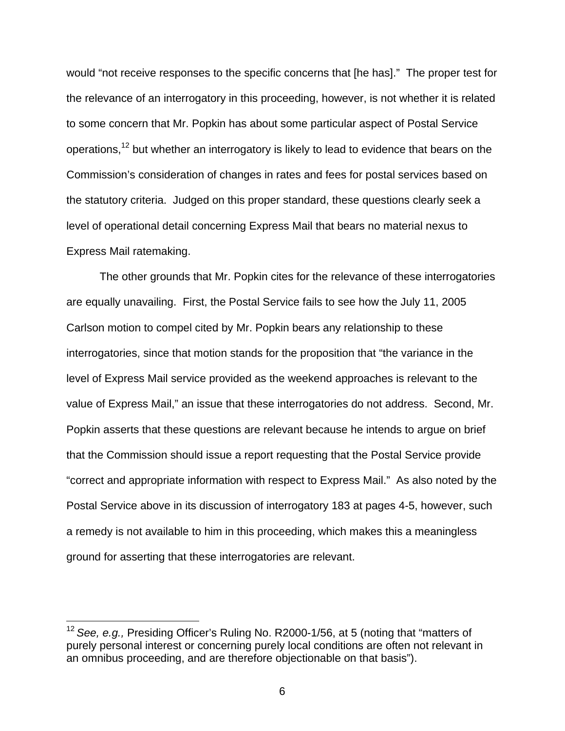would "not receive responses to the specific concerns that [he has]." The proper test for the relevance of an interrogatory in this proceeding, however, is not whether it is related to some concern that Mr. Popkin has about some particular aspect of Postal Service operations,12 but whether an interrogatory is likely to lead to evidence that bears on the Commission's consideration of changes in rates and fees for postal services based on the statutory criteria. Judged on this proper standard, these questions clearly seek a level of operational detail concerning Express Mail that bears no material nexus to Express Mail ratemaking.

 The other grounds that Mr. Popkin cites for the relevance of these interrogatories are equally unavailing. First, the Postal Service fails to see how the July 11, 2005 Carlson motion to compel cited by Mr. Popkin bears any relationship to these interrogatories, since that motion stands for the proposition that "the variance in the level of Express Mail service provided as the weekend approaches is relevant to the value of Express Mail," an issue that these interrogatories do not address. Second, Mr. Popkin asserts that these questions are relevant because he intends to argue on brief that the Commission should issue a report requesting that the Postal Service provide "correct and appropriate information with respect to Express Mail." As also noted by the Postal Service above in its discussion of interrogatory 183 at pages 4-5, however, such a remedy is not available to him in this proceeding, which makes this a meaningless ground for asserting that these interrogatories are relevant.

<sup>12</sup>*See, e.g.,* Presiding Officer's Ruling No. R2000-1/56, at 5 (noting that "matters of purely personal interest or concerning purely local conditions are often not relevant in an omnibus proceeding, and are therefore objectionable on that basis").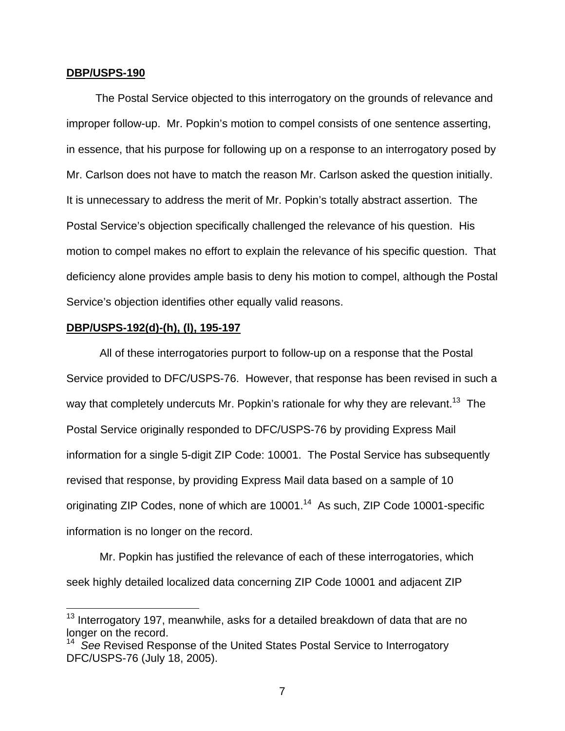#### **DBP/USPS-190**

The Postal Service objected to this interrogatory on the grounds of relevance and improper follow-up. Mr. Popkin's motion to compel consists of one sentence asserting, in essence, that his purpose for following up on a response to an interrogatory posed by Mr. Carlson does not have to match the reason Mr. Carlson asked the question initially. It is unnecessary to address the merit of Mr. Popkin's totally abstract assertion. The Postal Service's objection specifically challenged the relevance of his question. His motion to compel makes no effort to explain the relevance of his specific question. That deficiency alone provides ample basis to deny his motion to compel, although the Postal Service's objection identifies other equally valid reasons.

#### **DBP/USPS-192(d)-(h), (l), 195-197**

1

All of these interrogatories purport to follow-up on a response that the Postal Service provided to DFC/USPS-76. However, that response has been revised in such a way that completely undercuts Mr. Popkin's rationale for why they are relevant.<sup>13</sup> The Postal Service originally responded to DFC/USPS-76 by providing Express Mail information for a single 5-digit ZIP Code: 10001. The Postal Service has subsequently revised that response, by providing Express Mail data based on a sample of 10 originating ZIP Codes, none of which are 10001.<sup>14</sup> As such, ZIP Code 10001-specific information is no longer on the record.

Mr. Popkin has justified the relevance of each of these interrogatories, which seek highly detailed localized data concerning ZIP Code 10001 and adjacent ZIP

<sup>&</sup>lt;sup>13</sup> Interrogatory 197, meanwhile, asks for a detailed breakdown of data that are no longer on the record.

<sup>&</sup>lt;sup>14</sup> See Revised Response of the United States Postal Service to Interrogatory DFC/USPS-76 (July 18, 2005).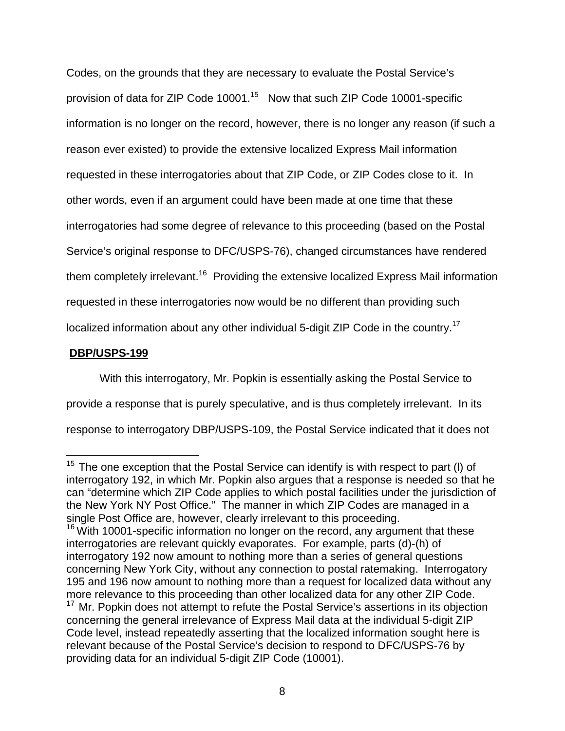Codes, on the grounds that they are necessary to evaluate the Postal Service's provision of data for ZIP Code 10001.15 Now that such ZIP Code 10001-specific information is no longer on the record, however, there is no longer any reason (if such a reason ever existed) to provide the extensive localized Express Mail information requested in these interrogatories about that ZIP Code, or ZIP Codes close to it. In other words, even if an argument could have been made at one time that these interrogatories had some degree of relevance to this proceeding (based on the Postal Service's original response to DFC/USPS-76), changed circumstances have rendered them completely irrelevant.<sup>16</sup> Providing the extensive localized Express Mail information requested in these interrogatories now would be no different than providing such localized information about any other individual 5-digit ZIP Code in the country.17

# **DBP/USPS-199**

 $\overline{a}$ 

With this interrogatory, Mr. Popkin is essentially asking the Postal Service to provide a response that is purely speculative, and is thus completely irrelevant. In its response to interrogatory DBP/USPS-109, the Postal Service indicated that it does not

 $15$  The one exception that the Postal Service can identify is with respect to part (I) of interrogatory 192, in which Mr. Popkin also argues that a response is needed so that he can "determine which ZIP Code applies to which postal facilities under the jurisdiction of the New York NY Post Office." The manner in which ZIP Codes are managed in a single Post Office are, however, clearly irrelevant to this proceeding.  $16$  With 10001-specific information no longer on the record, any argument that these interrogatories are relevant quickly evaporates. For example, parts (d)-(h) of interrogatory 192 now amount to nothing more than a series of general questions concerning New York City, without any connection to postal ratemaking. Interrogatory 195 and 196 now amount to nothing more than a request for localized data without any more relevance to this proceeding than other localized data for any other ZIP Code. <sup>17</sup> Mr. Popkin does not attempt to refute the Postal Service's assertions in its objection concerning the general irrelevance of Express Mail data at the individual 5-digit ZIP Code level, instead repeatedly asserting that the localized information sought here is relevant because of the Postal Service's decision to respond to DFC/USPS-76 by providing data for an individual 5-digit ZIP Code (10001).